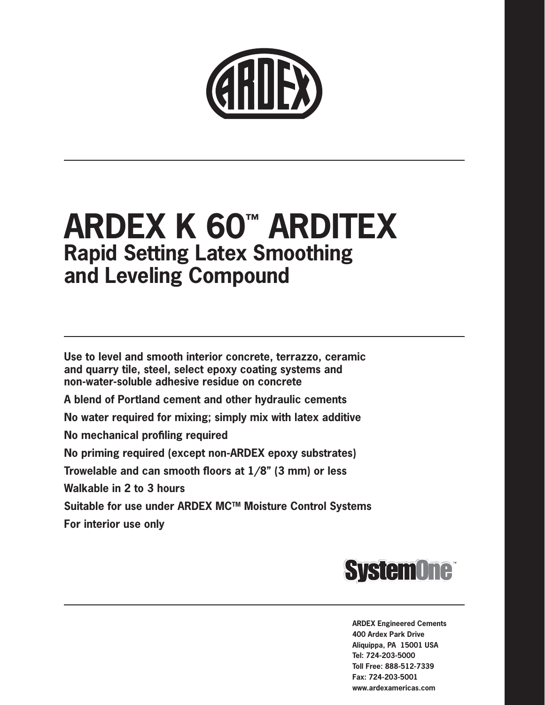

# **ARDEX K 60™ ARDITEX Rapid Setting Latex Smoothing and Leveling Compound**

**Use to level and smooth interior concrete, terrazzo, ceramic and quarry tile, steel, select epoxy coating systems and non-water-soluble adhesive residue on concrete**

**A blend of Portland cement and other hydraulic cements**

**No water required for mixing; simply mix with latex additive**

**No mechanical profiling required**

**No priming required (except non-ARDEX epoxy substrates)**

**Trowelable and can smooth floors at 1/8" (3 mm) or less**

**Walkable in 2 to 3 hours**

**Suitable for use under ARDEX MCTM Moisture Control Systems**

**For interior use only**



**ARDEX Engineered Cements 400 Ardex Park Drive Aliquippa, PA 15001 USA Tel: 724-203-5000 Toll Free: 888-512-7339 Fax: 724-203-5001 www.ardexamericas.com**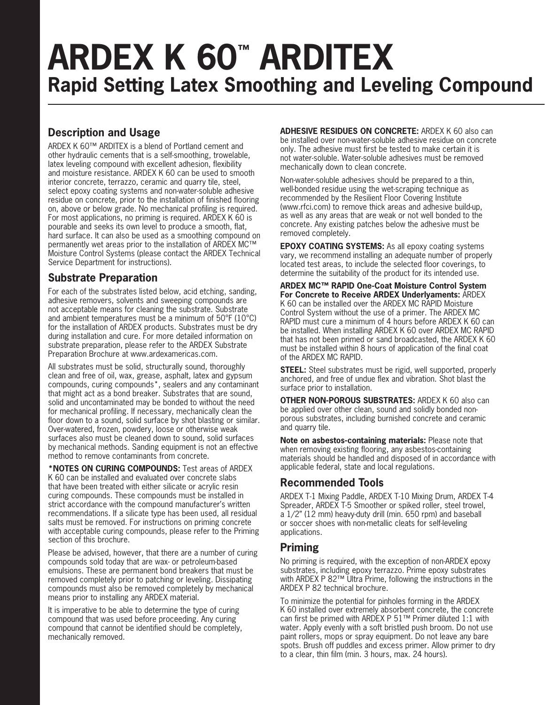# **ARDEX K 60™ ARDITEX Rapid Setting Latex Smoothing and Leveling Compound**

## **Description and Usage**

ARDEX K 60™ ARDITEX is a blend of Portland cement and other hydraulic cements that is a self-smoothing, trowelable, latex leveling compound with excellent adhesion, flexibility and moisture resistance. ARDEX K 60 can be used to smooth interior concrete, terrazzo, ceramic and quarry tile, steel, select epoxy coating systems and non-water-soluble adhesive residue on concrete, prior to the installation of finished flooring on, above or below grade. No mechanical profiling is required. For most applications, no priming is required. ARDEX K 60 is pourable and seeks its own level to produce a smooth, flat, hard surface. It can also be used as a smoothing compound on permanently wet areas prior to the installation of ARDEX MC™ Moisture Control Systems (please contact the ARDEX Technical Service Department for instructions).

#### **Substrate Preparation**

For each of the substrates listed below, acid etching, sanding, adhesive removers, solvents and sweeping compounds are not acceptable means for cleaning the substrate. Substrate and ambient temperatures must be a minimum of 50°F (10°C) for the installation of ARDEX products. Substrates must be dry during installation and cure. For more detailed information on substrate preparation, please refer to the ARDEX Substrate Preparation Brochure at www.ardexamericas.com.

All substrates must be solid, structurally sound, thoroughly clean and free of oil, wax, grease, asphalt, latex and gypsum compounds, curing compounds\*, sealers and any contaminant that might act as a bond breaker. Substrates that are sound, solid and uncontaminated may be bonded to without the need for mechanical profiling. If necessary, mechanically clean the floor down to a sound, solid surface by shot blasting or similar. Over-watered, frozen, powdery, loose or otherwise weak surfaces also must be cleaned down to sound, solid surfaces by mechanical methods. Sanding equipment is not an effective method to remove contaminants from concrete.

**\*NOTES ON CURING COMPOUNDS:** Test areas of ARDEX K 60 can be installed and evaluated over concrete slabs that have been treated with either silicate or acrylic resin curing compounds. These compounds must be installed in strict accordance with the compound manufacturer's written recommendations. If a silicate type has been used, all residual salts must be removed. For instructions on priming concrete with acceptable curing compounds, please refer to the Priming section of this brochure.

Please be advised, however, that there are a number of curing compounds sold today that are wax- or petroleum-based emulsions. These are permanent bond breakers that must be removed completely prior to patching or leveling. Dissipating compounds must also be removed completely by mechanical means prior to installing any ARDEX material.

It is imperative to be able to determine the type of curing compound that was used before proceeding. Any curing compound that cannot be identified should be completely, mechanically removed.

**ADHESIVE RESIDUES ON CONCRETE:** ARDEX K 60 also can be installed over non-water-soluble adhesive residue on concrete only. The adhesive must first be tested to make certain it is not water-soluble. Water-soluble adhesives must be removed mechanically down to clean concrete.

Non-water-soluble adhesives should be prepared to a thin, well-bonded residue using the wet-scraping technique as recommended by the Resilient Floor Covering Institute (www.rfci.com) to remove thick areas and adhesive build-up, as well as any areas that are weak or not well bonded to the concrete. Any existing patches below the adhesive must be removed completely.

**EPOXY COATING SYSTEMS:** As all epoxy coating systems vary, we recommend installing an adequate number of properly located test areas, to include the selected floor coverings, to determine the suitability of the product for its intended use.

**ARDEX MC™ RAPID One-Coat Moisture Control System For Concrete to Receive ARDEX Underlyaments:** ARDEX K 60 can be installed over the ARDEX MC RAPID Moisture Control System without the use of a primer. The ARDEX MC RAPID must cure a minimum of 4 hours before ARDEX K 60 can be installed. When installing ARDEX K 60 over ARDEX MC RAPID that has not been primed or sand broadcasted, the ARDEX K 60 must be installed within 8 hours of application of the final coat of the ARDEX MC RAPID.

**STEEL:** Steel substrates must be rigid, well supported, properly anchored, and free of undue flex and vibration. Shot blast the surface prior to installation.

**OTHER NON-POROUS SUBSTRATES:** ARDEX K 60 also can be applied over other clean, sound and solidly bonded nonporous substrates, including burnished concrete and ceramic and quarry tile.

**Note on asbestos-containing materials:** Please note that when removing existing flooring, any asbestos-containing materials should be handled and disposed of in accordance with applicable federal, state and local regulations.

#### **Recommended Tools**

ARDEX T-1 Mixing Paddle, ARDEX T-10 Mixing Drum, ARDEX T-4 Spreader, ARDEX T-5 Smoother or spiked roller, steel trowel, a 1/2" (12 mm) heavy-duty drill (min. 650 rpm) and baseball or soccer shoes with non-metallic cleats for self-leveling applications.

#### **Priming**

No priming is required, with the exception of non-ARDEX epoxy substrates, including epoxy terrazzo. Prime epoxy substrates with ARDEX P 82™ Ultra Prime, following the instructions in the ARDEX P 82 technical brochure.

To minimize the potential for pinholes forming in the ARDEX K 60 installed over extremely absorbent concrete, the concrete can first be primed with ARDEX P 51™ Primer diluted 1:1 with water. Apply evenly with a soft bristled push broom. Do not use paint rollers, mops or spray equipment. Do not leave any bare spots. Brush off puddles and excess primer. Allow primer to dry to a clear, thin film (min. 3 hours, max. 24 hours).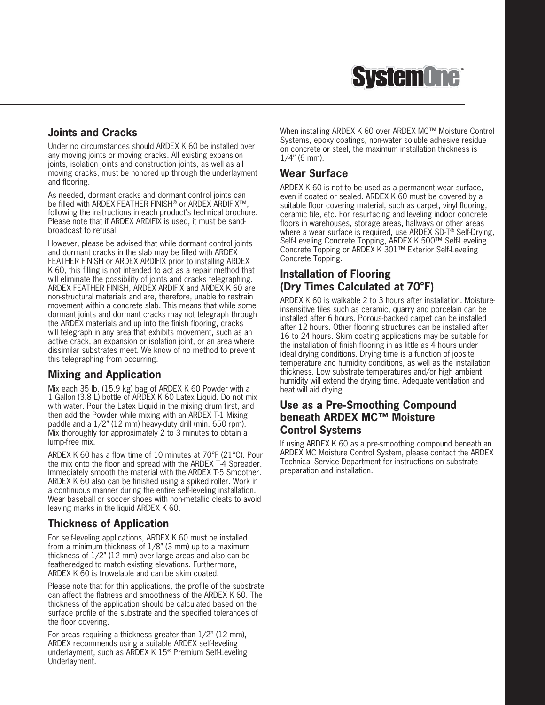

#### **Joints and Cracks**

Under no circumstances should ARDEX K 60 be installed over any moving joints or moving cracks. All existing expansion joints, isolation joints and construction joints, as well as all moving cracks, must be honored up through the underlayment and flooring.

As needed, dormant cracks and dormant control joints can be filled with ARDEX FEATHER FINISH® or ARDEX ARDIFIX™, following the instructions in each product's technical brochure. Please note that if ARDEX ARDIFIX is used, it must be sandbroadcast to refusal.

However, please be advised that while dormant control joints and dormant cracks in the slab may be filled with ARDEX FEATHER FINISH or ARDEX ARDIFIX prior to installing ARDEX K 60, this filling is not intended to act as a repair method that will eliminate the possibility of joints and cracks telegraphing. ARDEX FEATHER FINISH, ARDEX ARDIFIX and ARDEX K 60 are non-structural materials and are, therefore, unable to restrain movement within a concrete slab. This means that while some dormant joints and dormant cracks may not telegraph through the ARDEX materials and up into the finish flooring, cracks will telegraph in any area that exhibits movement, such as an active crack, an expansion or isolation joint, or an area where dissimilar substrates meet. We know of no method to prevent this telegraphing from occurring.

#### **Mixing and Application**

Mix each 35 lb. (15.9 kg) bag of ARDEX K 60 Powder with a 1 Gallon (3.8 L) bottle of ARDEX K 60 Latex Liquid. Do not mix with water. Pour the Latex Liquid in the mixing drum first, and then add the Powder while mixing with an ARDEX T-1 Mixing paddle and a 1/2" (12 mm) heavy-duty drill (min. 650 rpm). Mix thoroughly for approximately 2 to 3 minutes to obtain a lump-free mix.

ARDEX K 60 has a flow time of 10 minutes at 70°F (21°C). Pour the mix onto the floor and spread with the ARDEX T-4 Spreader. Immediately smooth the material with the ARDEX T-5 Smoother. ARDEX K 60 also can be finished using a spiked roller. Work in a continuous manner during the entire self-leveling installation. Wear baseball or soccer shoes with non-metallic cleats to avoid leaving marks in the liquid ARDEX K 60.

#### **Thickness of Application**

For self-leveling applications, ARDEX K 60 must be installed from a minimum thickness of 1/8" (3 mm) up to a maximum thickness of 1/2" (12 mm) over large areas and also can be featheredged to match existing elevations. Furthermore, ARDEX K 60 is trowelable and can be skim coated.

Please note that for thin applications, the profile of the substrate can affect the flatness and smoothness of the ARDEX K 60. The thickness of the application should be calculated based on the surface profile of the substrate and the specified tolerances of the floor covering.

For areas requiring a thickness greater than 1/2'' (12 mm), ARDEX recommends using a suitable ARDEX self-leveling underlayment, such as ARDEX K 15® Premium Self-Leveling Underlayment.

When installing ARDEX K 60 over ARDEX MC™ Moisture Control Systems, epoxy coatings, non-water soluble adhesive residue on concrete or steel, the maximum installation thickness is 1/4" (6 mm).

#### **Wear Surface**

ARDEX K 60 is not to be used as a permanent wear surface, even if coated or sealed. ARDEX K 60 must be covered by a suitable floor covering material, such as carpet, vinyl flooring, ceramic tile, etc. For resurfacing and leveling indoor concrete floors in warehouses, storage areas, hallways or other areas where a wear surface is required, use ARDEX SD-T® Self-Drying, Self-Leveling Concrete Topping, ARDEX K 500™ Self-Leveling Concrete Topping or ARDEX K 301™ Exterior Self-Leveling Concrete Topping.

#### **Installation of Flooring (Dry Times Calculated at 70°F)**

ARDEX K 60 is walkable 2 to 3 hours after installation. Moistureinsensitive tiles such as ceramic, quarry and porcelain can be installed after 6 hours. Porous-backed carpet can be installed after 12 hours. Other flooring structures can be installed after 16 to 24 hours. Skim coating applications may be suitable for the installation of finish flooring in as little as 4 hours under ideal drying conditions. Drying time is a function of jobsite temperature and humidity conditions, as well as the installation thickness. Low substrate temperatures and/or high ambient humidity will extend the drying time. Adequate ventilation and heat will aid drying.

#### **Use as a Pre-Smoothing Compound beneath ARDEX MC™ Moisture Control Systems**

If using ARDEX K 60 as a pre-smoothing compound beneath an ARDEX MC Moisture Control System, please contact the ARDEX Technical Service Department for instructions on substrate preparation and installation.